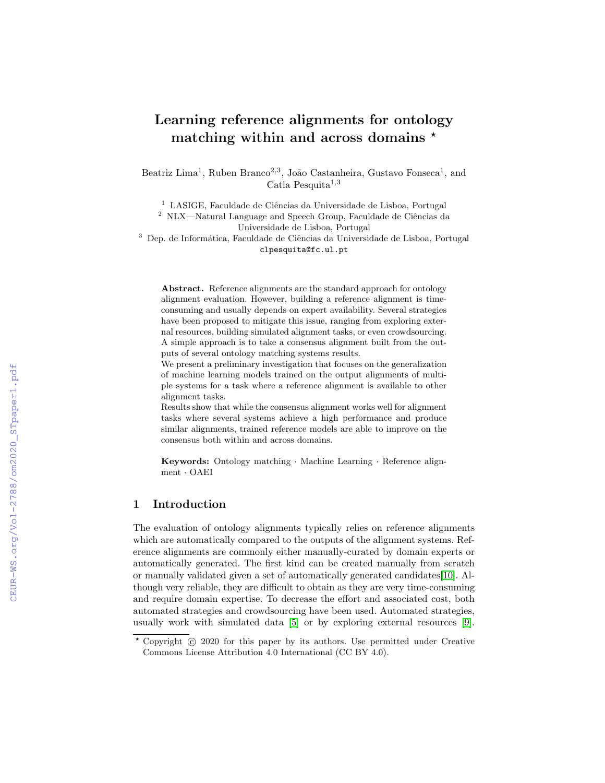# Learning reference alignments for ontology matching within and across domains  $*$

Beatriz Lima<sup>1</sup>, Ruben Branco<sup>2,3</sup>, João Castanheira, Gustavo Fonseca<sup>1</sup>, and Catia Pesquita<sup>1,3</sup>

 $1$  LASIGE, Faculdade de Ciências da Universidade de Lisboa, Portugal

 $^2$  NLX—Natural Language and Speech Group, Faculdade de Ciências da Universidade de Lisboa, Portugal

<sup>3</sup> Dep. de Informática, Faculdade de Ciências da Universidade de Lisboa, Portugal clpesquita@fc.ul.pt

Abstract. Reference alignments are the standard approach for ontology alignment evaluation. However, building a reference alignment is timeconsuming and usually depends on expert availability. Several strategies have been proposed to mitigate this issue, ranging from exploring external resources, building simulated alignment tasks, or even crowdsourcing. A simple approach is to take a consensus alignment built from the outputs of several ontology matching systems results.

We present a preliminary investigation that focuses on the generalization of machine learning models trained on the output alignments of multiple systems for a task where a reference alignment is available to other alignment tasks.

Results show that while the consensus alignment works well for alignment tasks where several systems achieve a high performance and produce similar alignments, trained reference models are able to improve on the consensus both within and across domains.

Keywords: Ontology matching · Machine Learning · Reference alignment · OAEI

# 1 Introduction

The evaluation of ontology alignments typically relies on reference alignments which are automatically compared to the outputs of the alignment systems. Reference alignments are commonly either manually-curated by domain experts or automatically generated. The first kind can be created manually from scratch or manually validated given a set of automatically generated candidates[\[10\]](#page--1-0). Although very reliable, they are difficult to obtain as they are very time-consuming and require domain expertise. To decrease the effort and associated cost, both automated strategies and crowdsourcing have been used. Automated strategies, usually work with simulated data [\[5\]](#page--1-1) or by exploring external resources [\[9\]](#page--1-2).

 $*$  Copyright  $\odot$  2020 for this paper by its authors. Use permitted under Creative Commons License Attribution 4.0 International (CC BY 4.0).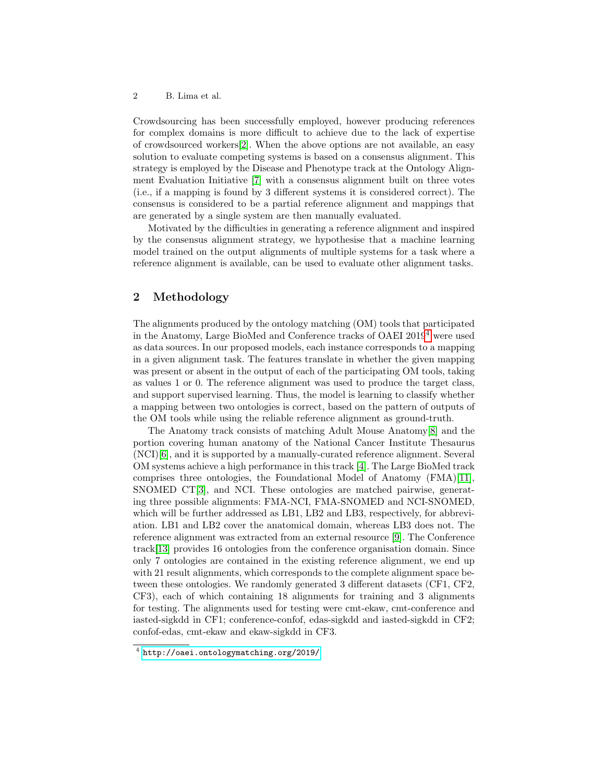#### 2 B. Lima et al.

Crowdsourcing has been successfully employed, however producing references for complex domains is more difficult to achieve due to the lack of expertise of crowdsourced workers[\[2\]](#page-4-0). When the above options are not available, an easy solution to evaluate competing systems is based on a consensus alignment. This strategy is employed by the Disease and Phenotype track at the Ontology Alignment Evaluation Initiative [\[7\]](#page-4-1) with a consensus alignment built on three votes (i.e., if a mapping is found by 3 different systems it is considered correct). The consensus is considered to be a partial reference alignment and mappings that are generated by a single system are then manually evaluated.

Motivated by the difficulties in generating a reference alignment and inspired by the consensus alignment strategy, we hypothesise that a machine learning model trained on the output alignments of multiple systems for a task where a reference alignment is available, can be used to evaluate other alignment tasks.

# 2 Methodology

The alignments produced by the ontology matching (OM) tools that participated in the Anatomy, Large BioMed and Conference tracks of OAEI 2019[4](#page-1-0) were used as data sources. In our proposed models, each instance corresponds to a mapping in a given alignment task. The features translate in whether the given mapping was present or absent in the output of each of the participating OM tools, taking as values 1 or 0. The reference alignment was used to produce the target class, and support supervised learning. Thus, the model is learning to classify whether a mapping between two ontologies is correct, based on the pattern of outputs of the OM tools while using the reliable reference alignment as ground-truth.

The Anatomy track consists of matching Adult Mouse Anatomy[\[8\]](#page-4-2) and the portion covering human anatomy of the National Cancer Institute Thesaurus (NCI)[\[6\]](#page-4-3), and it is supported by a manually-curated reference alignment. Several OM systems achieve a high performance in this track [\[4\]](#page-4-4). The Large BioMed track comprises three ontologies, the Foundational Model of Anatomy (FMA)[\[11\]](#page-4-5), SNOMED CT[\[3\]](#page-4-6), and NCI. These ontologies are matched pairwise, generating three possible alignments: FMA-NCI, FMA-SNOMED and NCI-SNOMED, which will be further addressed as LB1, LB2 and LB3, respectively, for abbreviation. LB1 and LB2 cover the anatomical domain, whereas LB3 does not. The reference alignment was extracted from an external resource [\[9\]](#page-4-7). The Conference track[\[13\]](#page-4-8) provides 16 ontologies from the conference organisation domain. Since only 7 ontologies are contained in the existing reference alignment, we end up with 21 result alignments, which corresponds to the complete alignment space between these ontologies. We randomly generated 3 different datasets (CF1, CF2, CF3), each of which containing 18 alignments for training and 3 alignments for testing. The alignments used for testing were cmt-ekaw, cmt-conference and iasted-sigkdd in CF1; conference-confof, edas-sigkdd and iasted-sigkdd in CF2; confof-edas, cmt-ekaw and ekaw-sigkdd in CF3.

<span id="page-1-0"></span><sup>4</sup> <http://oaei.ontologymatching.org/2019/>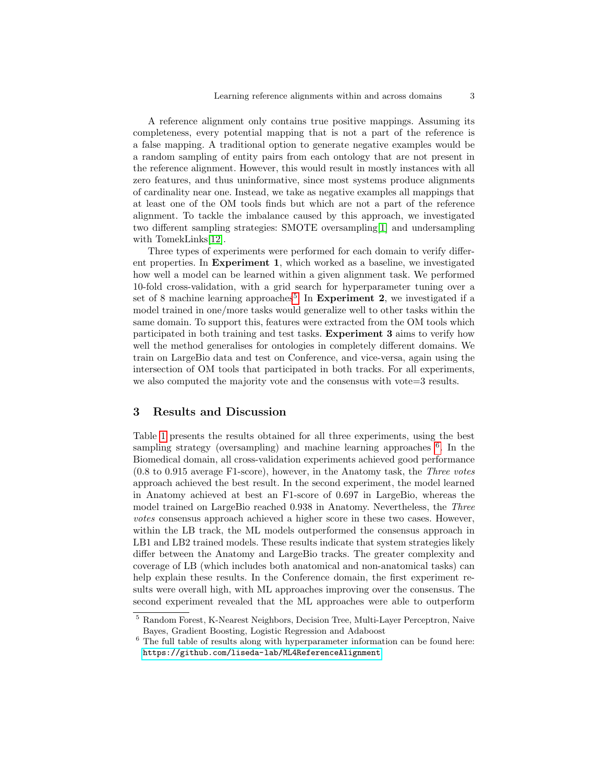A reference alignment only contains true positive mappings. Assuming its completeness, every potential mapping that is not a part of the reference is a false mapping. A traditional option to generate negative examples would be a random sampling of entity pairs from each ontology that are not present in the reference alignment. However, this would result in mostly instances with all zero features, and thus uninformative, since most systems produce alignments of cardinality near one. Instead, we take as negative examples all mappings that at least one of the OM tools finds but which are not a part of the reference alignment. To tackle the imbalance caused by this approach, we investigated two different sampling strategies: SMOTE oversampling[\[1\]](#page-4-9) and undersampling with TomekLinks[\[12\]](#page-4-10).

Three types of experiments were performed for each domain to verify different properties. In Experiment 1, which worked as a baseline, we investigated how well a model can be learned within a given alignment task. We performed 10-fold cross-validation, with a grid search for hyperparameter tuning over a set of 8 machine learning approaches<sup>[5](#page-2-0)</sup>. In **Experiment 2**, we investigated if a model trained in one/more tasks would generalize well to other tasks within the same domain. To support this, features were extracted from the OM tools which participated in both training and test tasks. Experiment 3 aims to verify how well the method generalises for ontologies in completely different domains. We train on LargeBio data and test on Conference, and vice-versa, again using the intersection of OM tools that participated in both tracks. For all experiments, we also computed the majority vote and the consensus with vote=3 results.

### 3 Results and Discussion

Table [1](#page-3-0) presents the results obtained for all three experiments, using the best sampling strategy (oversampling) and machine learning approaches <sup>[6](#page-2-1)</sup>. In the Biomedical domain, all cross-validation experiments achieved good performance (0.8 to 0.915 average F1-score), however, in the Anatomy task, the Three votes approach achieved the best result. In the second experiment, the model learned in Anatomy achieved at best an F1-score of 0.697 in LargeBio, whereas the model trained on LargeBio reached 0.938 in Anatomy. Nevertheless, the Three votes consensus approach achieved a higher score in these two cases. However, within the LB track, the ML models outperformed the consensus approach in LB1 and LB2 trained models. These results indicate that system strategies likely differ between the Anatomy and LargeBio tracks. The greater complexity and coverage of LB (which includes both anatomical and non-anatomical tasks) can help explain these results. In the Conference domain, the first experiment results were overall high, with ML approaches improving over the consensus. The second experiment revealed that the ML approaches were able to outperform

<span id="page-2-0"></span><sup>5</sup> Random Forest, K-Nearest Neighbors, Decision Tree, Multi-Layer Perceptron, Naive Bayes, Gradient Boosting, Logistic Regression and Adaboost

<span id="page-2-1"></span> $^6$  The full table of results along with hyperparameter information can be found here: <https://github.com/liseda-lab/ML4ReferenceAlignment>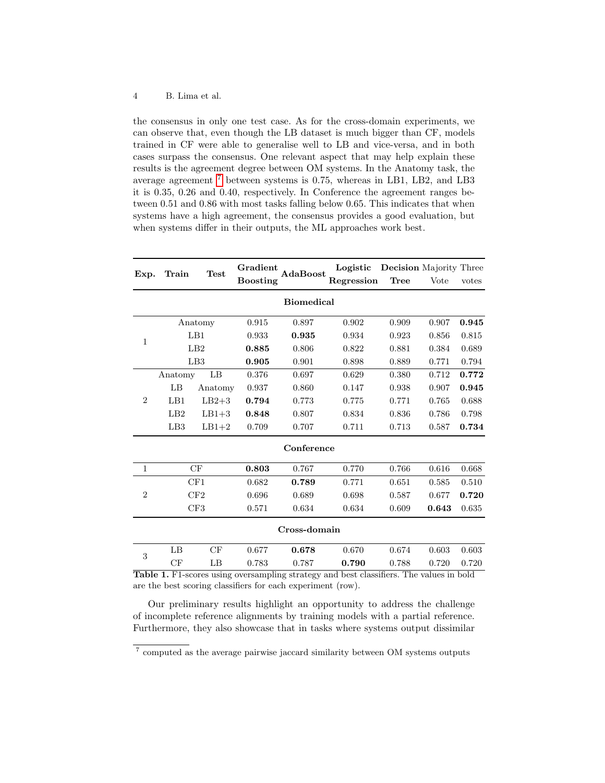#### 4 B. Lima et al.

the consensus in only one test case. As for the cross-domain experiments, we can observe that, even though the LB dataset is much bigger than CF, models trained in CF were able to generalise well to LB and vice-versa, and in both cases surpass the consensus. One relevant aspect that may help explain these results is the agreement degree between OM systems. In the Anatomy task, the average agreement [7](#page-3-1) between systems is 0.75, whereas in LB1, LB2, and LB3 it is 0.35, 0.26 and 0.40, respectively. In Conference the agreement ranges between 0.51 and 0.86 with most tasks falling below 0.65. This indicates that when systems have a high agreement, the consensus provides a good evaluation, but when systems differ in their outputs, the ML approaches work best.

| Exp.                                                                                           | Train    | Test    | Gradient<br><b>Boosting</b> | AdaBoost   | Logistic   | <b>Decision</b> Majority Three |       |       |
|------------------------------------------------------------------------------------------------|----------|---------|-----------------------------|------------|------------|--------------------------------|-------|-------|
|                                                                                                |          |         |                             |            | Regression | <b>Tree</b>                    | Vote  | votes |
| <b>Biomedical</b>                                                                              |          |         |                             |            |            |                                |       |       |
| $\mathbf{1}$                                                                                   | Anatomy  |         | 0.915                       | 0.897      | 0.902      | 0.909                          | 0.907 | 0.945 |
|                                                                                                | LB1      |         | 0.933                       | 0.935      | 0.934      | 0.923                          | 0.856 | 0.815 |
|                                                                                                | LB2      |         | 0.885                       | 0.806      | 0.822      | 0.881                          | 0.384 | 0.689 |
|                                                                                                | LB3      |         | 0.905                       | 0.901      | 0.898      | 0.889                          | 0.771 | 0.794 |
| $\overline{2}$                                                                                 | Anatomy  | LB      | 0.376                       | 0.697      | 0.629      | 0.380                          | 0.712 | 0.772 |
|                                                                                                | LB       | Anatomy | 0.937                       | 0.860      | 0.147      | 0.938                          | 0.907 | 0.945 |
|                                                                                                | $L_{B1}$ | $LB2+3$ | 0.794                       | 0.773      | 0.775      | 0.771                          | 0.765 | 0.688 |
|                                                                                                | LB2      | $LB1+3$ | 0.848                       | 0.807      | 0.834      | 0.836                          | 0.786 | 0.798 |
|                                                                                                | LB3      | $LB1+2$ | 0.709                       | 0.707      | 0.711      | 0.713                          | 0.587 | 0.734 |
|                                                                                                |          |         |                             | Conference |            |                                |       |       |
| 1                                                                                              | CF       |         | 0.803                       | 0.767      | 0.770      | 0.766                          | 0.616 | 0.668 |
| $\overline{2}$                                                                                 | CF1      |         | 0.682                       | 0.789      | 0.771      | 0.651                          | 0.585 | 0.510 |
|                                                                                                | CF2      |         | 0.696                       | 0.689      | 0.698      | 0.587                          | 0.677 | 0.720 |
|                                                                                                | CF3      |         | 0.571                       | 0.634      | 0.634      | 0.609                          | 0.643 | 0.635 |
| Cross-domain                                                                                   |          |         |                             |            |            |                                |       |       |
| 3                                                                                              | LB       | CF      | 0.677                       | 0.678      | 0.670      | 0.674                          | 0.603 | 0.603 |
|                                                                                                | CF       | LB      | 0.783                       | 0.787      | 0.790      | 0.788                          | 0.720 | 0.720 |
| <b>Table 1.</b> F1-scores using oversampling strategy and best classifiers. The values in bold |          |         |                             |            |            |                                |       |       |

<span id="page-3-0"></span>Table 1. F1-scores using oversampling strategy and best classifiers. The values in bold are the best scoring classifiers for each experiment (row).

Our preliminary results highlight an opportunity to address the challenge of incomplete reference alignments by training models with a partial reference. Furthermore, they also showcase that in tasks where systems output dissimilar

<span id="page-3-1"></span><sup>&</sup>lt;sup>7</sup> computed as the average pairwise jaccard similarity between OM systems outputs